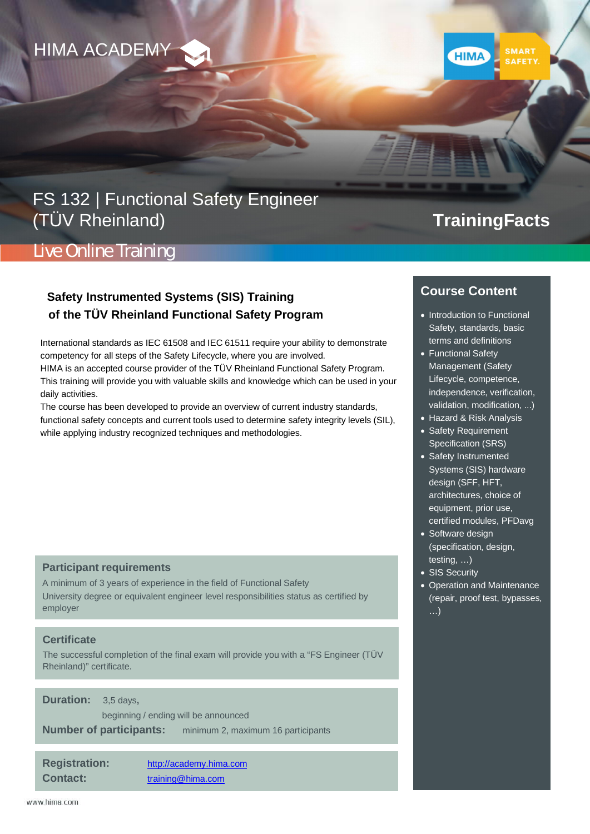

## FS 132 | Functional Safety Engineer (TÜV Rheinland)

# **TrainingFacts**

## Live Online Training

### **Safety Instrumented Systems (SIS) Training of the TÜV Rheinland Functional Safety Program**

International standards as IEC 61508 and IEC 61511 require your ability to demonstrate competency for all steps of the Safety Lifecycle, where you are involved.

HIMA is an accepted course provider of the TÜV Rheinland Functional Safety Program. This training will provide you with valuable skills and knowledge which can be used in your daily activities.

The course has been developed to provide an overview of current industry standards, functional safety concepts and current tools used to determine safety integrity levels (SIL), while applying industry recognized techniques and methodologies.

#### **Participant requirements**

A minimum of 3 years of experience in the field of Functional Safety University degree or equivalent engineer level responsibilities status as certified by employer

#### **Certificate**

The successful completion of the final exam will provide you with a "FS Engineer (TÜV Rheinland)" certificate.

**Duration:** 3,5 days**,**

 beginning / ending will be announced **Number of participants:** minimum 2, maximum 16 participants

**Registration:** [http://academy.hima.com](http://academy.hima.com/) **Contact:** [training@hima.com](mailto:training@hima.com)

### **Course Content**

**HIMA** 

- · Introduction to Functional Safety, standards, basic terms and definitions
- · Functional Safety Management (Safety Lifecycle, competence, independence, verification, validation, modification, ...)
- · Hazard & Risk Analysis
- · Safety Requirement Specification (SRS)
- · Safety Instrumented Systems (SIS) hardware design (SFF, HFT, architectures, choice of equipment, prior use, certified modules, PFDavg
- Software design (specification, design, testing, …)
- SIS Security
- · Operation and Maintenance (repair, proof test, bypasses, …)